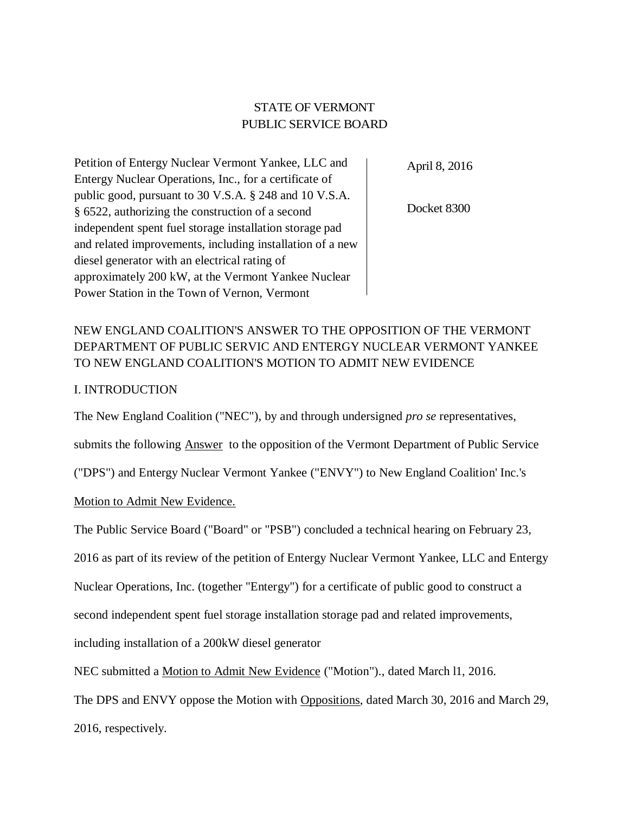## STATE OF VERMONT PUBLIC SERVICE BOARD

Petition of Entergy Nuclear Vermont Yankee, LLC and Entergy Nuclear Operations, Inc., for a certificate of public good, pursuant to 30 V.S.A. § 248 and 10 V.S.A. § 6522, authorizing the construction of a second independent spent fuel storage installation storage pad and related improvements, including installation of a new diesel generator with an electrical rating of approximately 200 kW, at the Vermont Yankee Nuclear Power Station in the Town of Vernon, Vermont

April 8, 2016

Docket 8300

# NEW ENGLAND COALITION'S ANSWER TO THE OPPOSITION OF THE VERMONT DEPARTMENT OF PUBLIC SERVIC AND ENTERGY NUCLEAR VERMONT YANKEE TO NEW ENGLAND COALITION'S MOTION TO ADMIT NEW EVIDENCE

### I. INTRODUCTION

The New England Coalition ("NEC"), by and through undersigned *pro se* representatives,

submits the following Answer to the opposition of the Vermont Department of Public Service

("DPS") and Entergy Nuclear Vermont Yankee ("ENVY") to New England Coalition' Inc.'s

### Motion to Admit New Evidence.

The Public Service Board ("Board" or "PSB") concluded a technical hearing on February 23,

2016 as part of its review of the petition of Entergy Nuclear Vermont Yankee, LLC and Entergy

Nuclear Operations, Inc. (together "Entergy") for a certificate of public good to construct a

second independent spent fuel storage installation storage pad and related improvements,

including installation of a 200kW diesel generator

NEC submitted a Motion to Admit New Evidence ("Motion")., dated March l1, 2016.

The DPS and ENVY oppose the Motion with Oppositions, dated March 30, 2016 and March 29,

2016, respectively.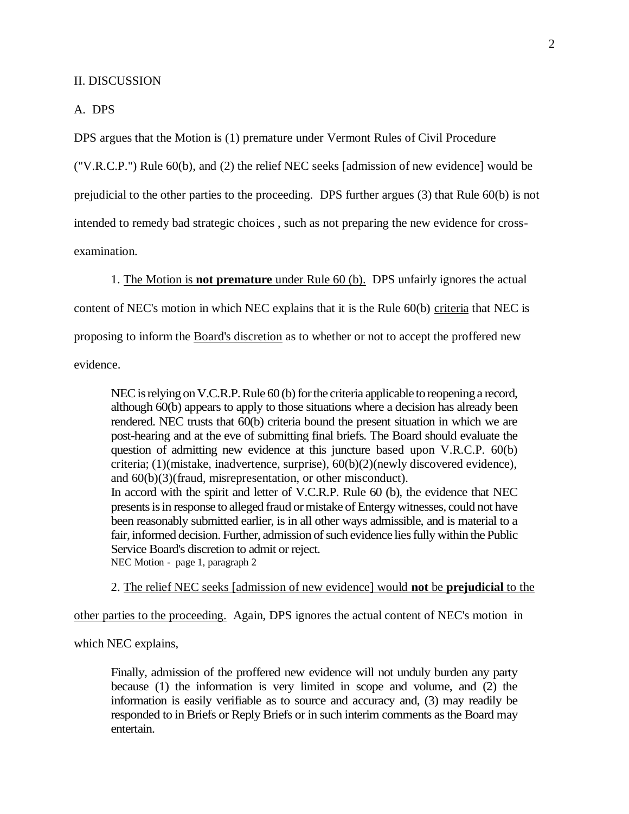II. DISCUSSION

A. DPS

DPS argues that the Motion is (1) premature under Vermont Rules of Civil Procedure

("V.R.C.P.") Rule 60(b), and (2) the relief NEC seeks [admission of new evidence] would be prejudicial to the other parties to the proceeding. DPS further argues (3) that Rule 60(b) is not intended to remedy bad strategic choices , such as not preparing the new evidence for crossexamination.

1. The Motion is **not premature** under Rule 60 (b). DPS unfairly ignores the actual content of NEC's motion in which NEC explains that it is the Rule 60(b) criteria that NEC is proposing to inform the Board's discretion as to whether or not to accept the proffered new evidence.

NEC is relying on V.C.R.P. Rule 60 (b) for the criteria applicable to reopening a record, although 60(b) appears to apply to those situations where a decision has already been rendered. NEC trusts that 60(b) criteria bound the present situation in which we are post-hearing and at the eve of submitting final briefs. The Board should evaluate the question of admitting new evidence at this juncture based upon V.R.C.P. 60(b) criteria; (1)(mistake, inadvertence, surprise), 60(b)(2)(newly discovered evidence), and 60(b)(3)(fraud, misrepresentation, or other misconduct). In accord with the spirit and letter of V.C.R.P. Rule 60 (b), the evidence that NEC presents is in response to alleged fraud or mistake of Entergy witnesses, could not have been reasonably submitted earlier, is in all other ways admissible, and is material to a fair, informed decision. Further, admission of such evidence lies fully within the Public Service Board's discretion to admit or reject. NEC Motion - page 1, paragraph 2

2. The relief NEC seeks [admission of new evidence] would **not** be **prejudicial** to the

other parties to the proceeding. Again, DPS ignores the actual content of NEC's motion in

which NEC explains,

Finally, admission of the proffered new evidence will not unduly burden any party because (1) the information is very limited in scope and volume, and (2) the information is easily verifiable as to source and accuracy and, (3) may readily be responded to in Briefs or Reply Briefs or in such interim comments as the Board may entertain.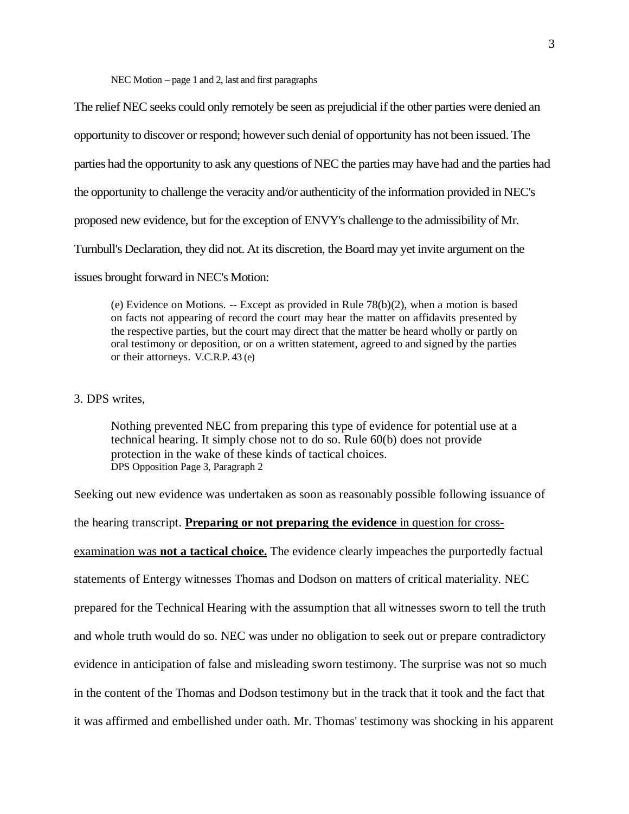NEC Motion – page 1 and 2, last and first paragraphs

The relief NEC seeks could only remotely be seen as prejudicial if the other parties were denied an

opportunity to discover or respond; however such denial of opportunity has not been issued. The

parties had the opportunity to ask any questions of NEC the parties may have had and the parties had

the opportunity to challenge the veracity and/or authenticity of the information provided in NEC's

proposed new evidence, but for the exception of ENVY's challenge to the admissibility of Mr.

Turnbull's Declaration, they did not. At its discretion, the Board may yet invite argument on the

issues brought forward in NEC's Motion:

(e) Evidence on Motions. -- Except as provided in Rule 78(b)(2), when a motion is based on facts not appearing of record the court may hear the matter on affidavits presented by the respective parties, but the court may direct that the matter be heard wholly or partly on oral testimony or deposition, or on a written statement, agreed to and signed by the parties or their attorneys. V.C.R.P. 43 (e)

#### 3. DPS writes,

Nothing prevented NEC from preparing this type of evidence for potential use at a technical hearing. It simply chose not to do so. Rule 60(b) does not provide protection in the wake of these kinds of tactical choices. DPS Opposition Page 3, Paragraph 2

Seeking out new evidence was undertaken as soon as reasonably possible following issuance of the hearing transcript. **Preparing or not preparing the evidence** in question for crossexamination was **not a tactical choice.** The evidence clearly impeaches the purportedly factual statements of Entergy witnesses Thomas and Dodson on matters of critical materiality. NEC prepared for the Technical Hearing with the assumption that all witnesses sworn to tell the truth and whole truth would do so. NEC was under no obligation to seek out or prepare contradictory evidence in anticipation of false and misleading sworn testimony. The surprise was not so much in the content of the Thomas and Dodson testimony but in the track that it took and the fact that it was affirmed and embellished under oath. Mr. Thomas' testimony was shocking in his apparent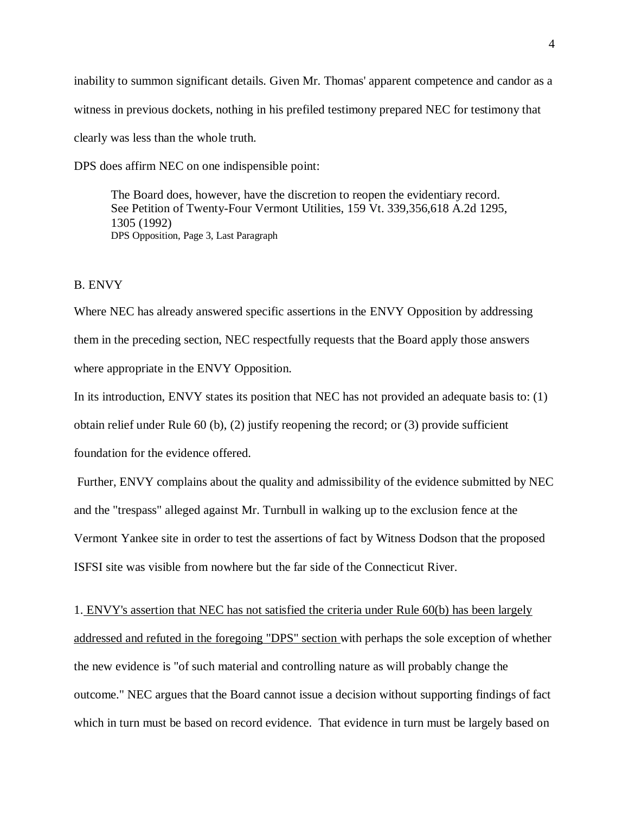inability to summon significant details. Given Mr. Thomas' apparent competence and candor as a witness in previous dockets, nothing in his prefiled testimony prepared NEC for testimony that clearly was less than the whole truth.

DPS does affirm NEC on one indispensible point:

The Board does, however, have the discretion to reopen the evidentiary record. See Petition of Twenty-Four Vermont Utilities, 159 Vt. 339,356,618 A.2d 1295, 1305 (1992) DPS Opposition, Page 3, Last Paragraph

#### B. ENVY

Where NEC has already answered specific assertions in the ENVY Opposition by addressing them in the preceding section, NEC respectfully requests that the Board apply those answers where appropriate in the ENVY Opposition.

In its introduction, ENVY states its position that NEC has not provided an adequate basis to: (1) obtain relief under Rule 60 (b), (2) justify reopening the record; or (3) provide sufficient foundation for the evidence offered.

Further, ENVY complains about the quality and admissibility of the evidence submitted by NEC and the "trespass" alleged against Mr. Turnbull in walking up to the exclusion fence at the Vermont Yankee site in order to test the assertions of fact by Witness Dodson that the proposed ISFSI site was visible from nowhere but the far side of the Connecticut River.

1. ENVY's assertion that NEC has not satisfied the criteria under Rule 60(b) has been largely

addressed and refuted in the foregoing "DPS" section with perhaps the sole exception of whether the new evidence is "of such material and controlling nature as will probably change the outcome." NEC argues that the Board cannot issue a decision without supporting findings of fact which in turn must be based on record evidence. That evidence in turn must be largely based on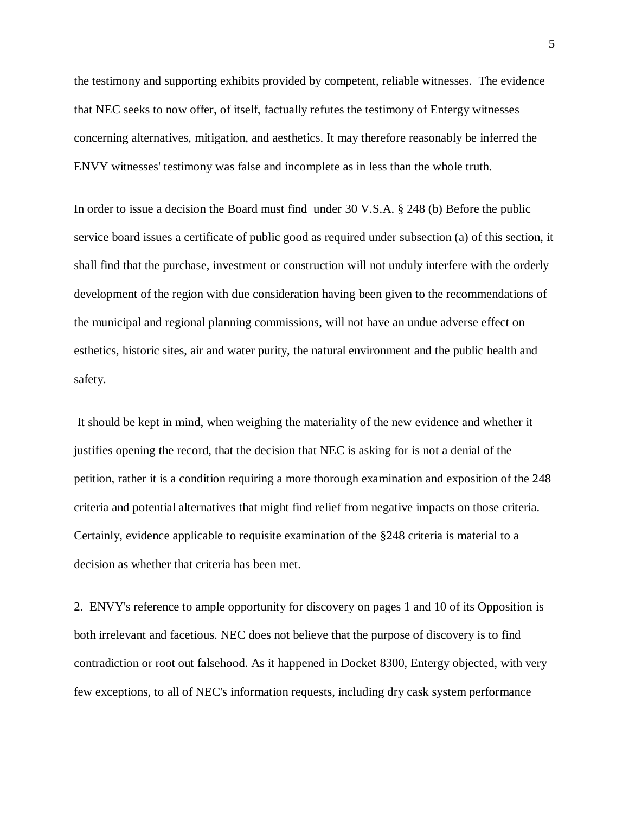the testimony and supporting exhibits provided by competent, reliable witnesses. The evidence that NEC seeks to now offer, of itself, factually refutes the testimony of Entergy witnesses concerning alternatives, mitigation, and aesthetics. It may therefore reasonably be inferred the ENVY witnesses' testimony was false and incomplete as in less than the whole truth.

In order to issue a decision the Board must find under 30 V.S.A. § 248 (b) Before the public service board issues a certificate of public good as required under subsection (a) of this section, it shall find that the purchase, investment or construction will not unduly interfere with the orderly development of the region with due consideration having been given to the recommendations of the municipal and regional planning commissions, will not have an undue adverse effect on esthetics, historic sites, air and water purity, the natural environment and the public health and safety.

It should be kept in mind, when weighing the materiality of the new evidence and whether it justifies opening the record, that the decision that NEC is asking for is not a denial of the petition, rather it is a condition requiring a more thorough examination and exposition of the 248 criteria and potential alternatives that might find relief from negative impacts on those criteria. Certainly, evidence applicable to requisite examination of the §248 criteria is material to a decision as whether that criteria has been met.

2. ENVY's reference to ample opportunity for discovery on pages 1 and 10 of its Opposition is both irrelevant and facetious. NEC does not believe that the purpose of discovery is to find contradiction or root out falsehood. As it happened in Docket 8300, Entergy objected, with very few exceptions, to all of NEC's information requests, including dry cask system performance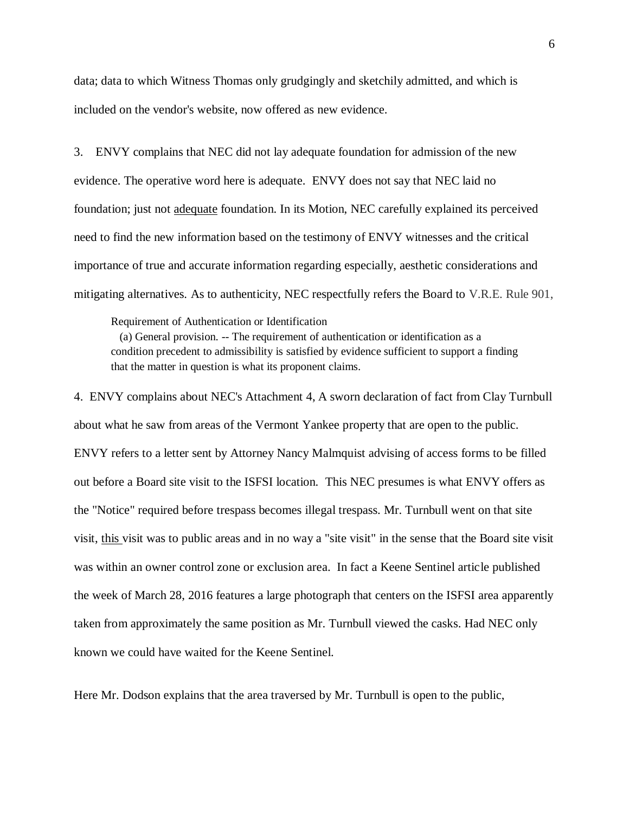data; data to which Witness Thomas only grudgingly and sketchily admitted, and which is included on the vendor's website, now offered as new evidence.

3. ENVY complains that NEC did not lay adequate foundation for admission of the new evidence. The operative word here is adequate. ENVY does not say that NEC laid no foundation; just not adequate foundation. In its Motion, NEC carefully explained its perceived need to find the new information based on the testimony of ENVY witnesses and the critical importance of true and accurate information regarding especially, aesthetic considerations and mitigating alternatives. As to authenticity, NEC respectfully refers the Board to V.R.E. Rule 901,

Requirement of Authentication or Identification (a) General provision. -- The requirement of authentication or identification as a condition precedent to admissibility is satisfied by evidence sufficient to support a finding that the matter in question is what its proponent claims.

4. ENVY complains about NEC's Attachment 4, A sworn declaration of fact from Clay Turnbull about what he saw from areas of the Vermont Yankee property that are open to the public. ENVY refers to a letter sent by Attorney Nancy Malmquist advising of access forms to be filled out before a Board site visit to the ISFSI location. This NEC presumes is what ENVY offers as the "Notice" required before trespass becomes illegal trespass. Mr. Turnbull went on that site visit, this visit was to public areas and in no way a "site visit" in the sense that the Board site visit was within an owner control zone or exclusion area. In fact a Keene Sentinel article published the week of March 28, 2016 features a large photograph that centers on the ISFSI area apparently taken from approximately the same position as Mr. Turnbull viewed the casks. Had NEC only known we could have waited for the Keene Sentinel.

Here Mr. Dodson explains that the area traversed by Mr. Turnbull is open to the public,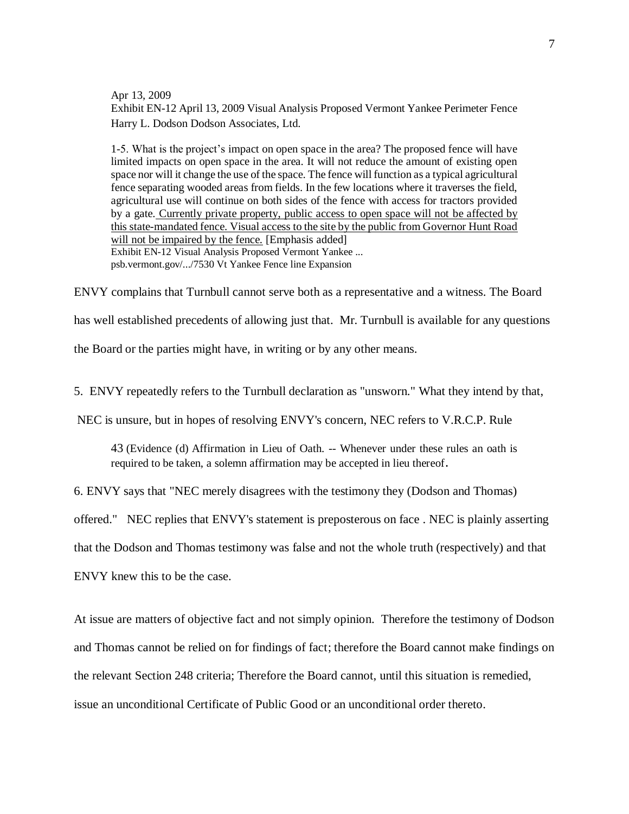Apr 13, 2009 Exhibit EN-12 April 13, 2009 Visual Analysis Proposed Vermont Yankee Perimeter Fence Harry L. Dodson Dodson Associates, Ltd.

1-5. What is the project's impact on open space in the area? The proposed fence will have limited impacts on open space in the area. It will not reduce the amount of existing open space nor will it change the use of the space. The fence will function as a typical agricultural fence separating wooded areas from fields. In the few locations where it traverses the field, agricultural use will continue on both sides of the fence with access for tractors provided by a gate. Currently private property, public access to open space will not be affected by this state-mandated fence. Visual access to the site by the public from Governor Hunt Road will not be impaired by the fence. [Emphasis added] [Exhibit EN-12 Visual Analysis Proposed Vermont Yankee ...](http://psb.vermont.gov/sites/psb/files/docket/7530VtYankeeFencelineExpansion/PetDocs/ExhibitEN-12.pdf) psb.vermont.gov/.../7530 Vt Yankee Fence line Expansion

ENVY complains that Turnbull cannot serve both as a representative and a witness. The Board has well established precedents of allowing just that. Mr. Turnbull is available for any questions the Board or the parties might have, in writing or by any other means.

5. ENVY repeatedly refers to the Turnbull declaration as "unsworn." What they intend by that,

NEC is unsure, but in hopes of resolving ENVY's concern, NEC refers to V.R.C.P. Rule

43 (Evidence (d) Affirmation in Lieu of Oath. -- Whenever under these rules an oath is required to be taken, a solemn affirmation may be accepted in lieu thereof.

6. ENVY says that "NEC merely disagrees with the testimony they (Dodson and Thomas)

offered." NEC replies that ENVY's statement is preposterous on face . NEC is plainly asserting

that the Dodson and Thomas testimony was false and not the whole truth (respectively) and that

ENVY knew this to be the case.

At issue are matters of objective fact and not simply opinion. Therefore the testimony of Dodson and Thomas cannot be relied on for findings of fact; therefore the Board cannot make findings on the relevant Section 248 criteria; Therefore the Board cannot, until this situation is remedied, issue an unconditional Certificate of Public Good or an unconditional order thereto.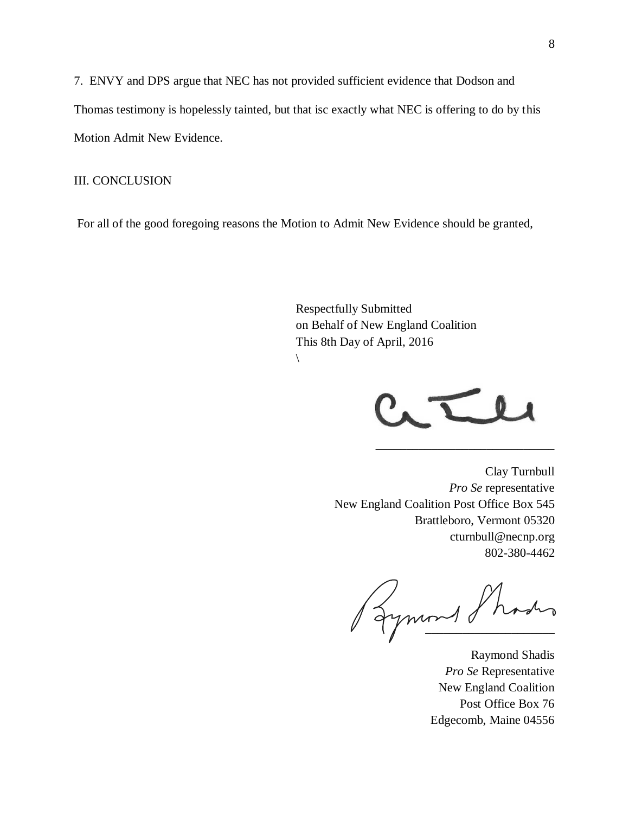7. ENVY and DPS argue that NEC has not provided sufficient evidence that Dodson and Thomas testimony is hopelessly tainted, but that isc exactly what NEC is offering to do by this Motion Admit New Evidence.

III. CONCLUSION

For all of the good foregoing reasons the Motion to Admit New Evidence should be granted,

Respectfully Submitted on Behalf of New England Coalition This 8th Day of April, 2016  $\setminus$ 

Clay Turnbull *Pro Se* representative New England Coalition Post Office Box 545 Brattleboro, Vermont 05320 cturnbull@necnp.org 802-380-4462

 $\overline{\phantom{a}}$  ,  $\overline{\phantom{a}}$  ,  $\overline{\phantom{a}}$  ,  $\overline{\phantom{a}}$  ,  $\overline{\phantom{a}}$  ,  $\overline{\phantom{a}}$  ,  $\overline{\phantom{a}}$  ,  $\overline{\phantom{a}}$  ,  $\overline{\phantom{a}}$  ,  $\overline{\phantom{a}}$  ,  $\overline{\phantom{a}}$  ,  $\overline{\phantom{a}}$  ,  $\overline{\phantom{a}}$  ,  $\overline{\phantom{a}}$  ,  $\overline{\phantom{a}}$  ,  $\overline{\phantom{a}}$ 

Iymond Shodes

Raymond Shadis *Pro Se* Representative New England Coalition Post Office Box 76 Edgecomb, Maine 04556